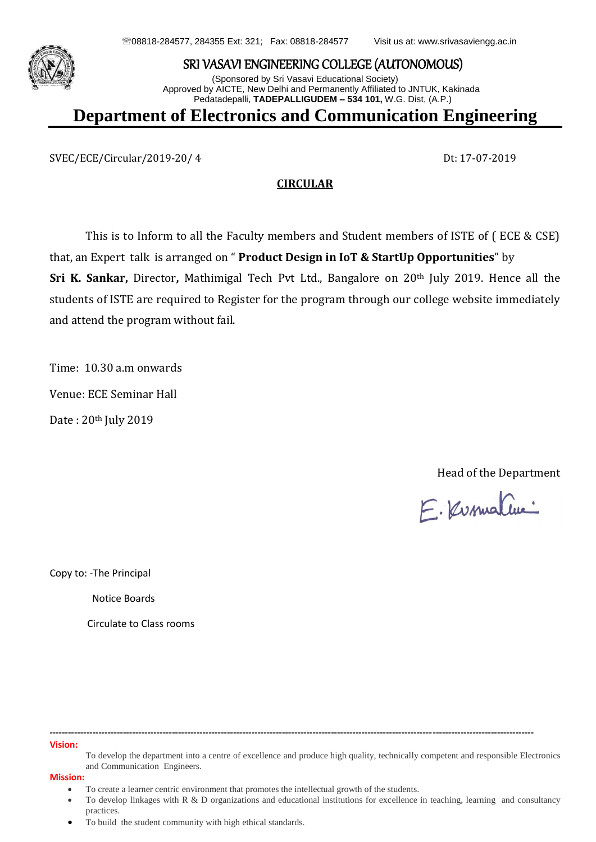



## SRI VASAVI ENGINEERING COLLEGE (AUTONOMOUS)

(Sponsored by Sri Vasavi Educational Society) Approved by AICTE, New Delhi and Permanently Affiliated to JNTUK, Kakinada Pedatadepalli, **TADEPALLIGUDEM – 534 101,** W.G. Dist, (A.P.)

**Department of Electronics and Communication Engineering**

SVEC/ECE/Circular/2019-20/ 4 Dt: 17-07-2019

## **CIRCULAR**

This is to Inform to all the Faculty members and Student members of ISTE of ( ECE & CSE) that, an Expert talk is arranged on " **Product Design in IoT & StartUp Opportunities**" by **Sri K. Sankar,** Director**,** Mathimigal Tech Pvt Ltd., Bangalore on 20th July 2019. Hence all the students of ISTE are required to Register for the program through our college website immediately and attend the program without fail.

Time: 10.30 a.m onwards Venue: ECE Seminar Hall Date : 20th July 2019

Head of the Department

E. Kusmaline

Copy to: -The Principal

Notice Boards

Circulate to Class rooms

**-------------------------------------------------------------------------------------------------------------------------------------------------------------- Vision:**

To develop the department into a centre of excellence and produce high quality, technically competent and responsible Electronics and Communication Engineers.

**Mission:**

To create a learner centric environment that promotes the intellectual growth of the students.

 To develop linkages with R & D organizations and educational institutions for excellence in teaching, learning and consultancy practices.

To build the student community with high ethical standards.